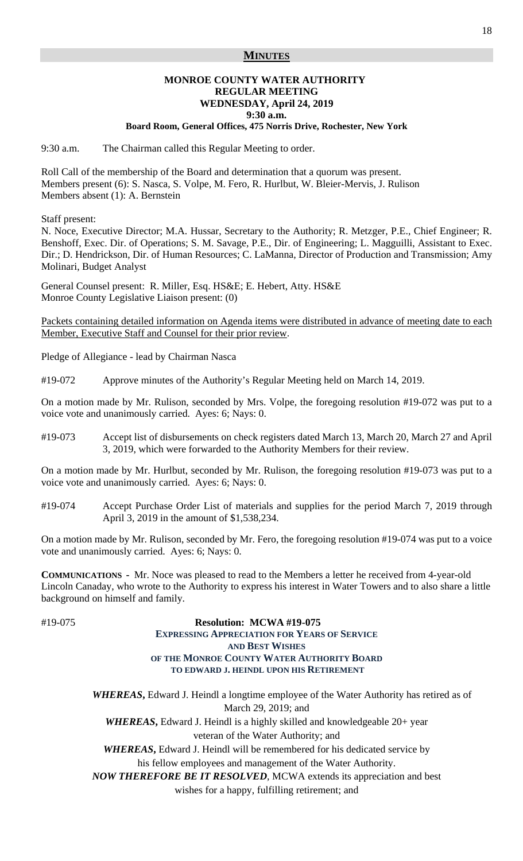### **MINUTES**

#### **MONROE COUNTY WATER AUTHORITY REGULAR MEETING WEDNESDAY, April 24, 2019 9:30 a.m.**

#### **Board Room, General Offices, 475 Norris Drive, Rochester, New York**

9:30 a.m. The Chairman called this Regular Meeting to order.

Roll Call of the membership of the Board and determination that a quorum was present. Members present (6): S. Nasca, S. Volpe, M. Fero, R. Hurlbut, W. Bleier-Mervis, J. Rulison Members absent (1): A. Bernstein

Staff present:

N. Noce, Executive Director; M.A. Hussar, Secretary to the Authority; R. Metzger, P.E., Chief Engineer; R. Benshoff, Exec. Dir. of Operations; S. M. Savage, P.E., Dir. of Engineering; L. Magguilli, Assistant to Exec. Dir.; D. Hendrickson, Dir. of Human Resources; C. LaManna, Director of Production and Transmission; Amy Molinari, Budget Analyst

General Counsel present: R. Miller, Esq. HS&E; E. Hebert, Atty. HS&E Monroe County Legislative Liaison present: (0)

Packets containing detailed information on Agenda items were distributed in advance of meeting date to each Member, Executive Staff and Counsel for their prior review.

Pledge of Allegiance - lead by Chairman Nasca

#19-072 Approve minutes of the Authority's Regular Meeting held on March 14, 2019.

On a motion made by Mr. Rulison, seconded by Mrs. Volpe, the foregoing resolution #19-072 was put to a voice vote and unanimously carried. Ayes: 6; Nays: 0.

#19-073 Accept list of disbursements on check registers dated March 13, March 20, March 27 and April 3, 2019, which were forwarded to the Authority Members for their review.

On a motion made by Mr. Hurlbut, seconded by Mr. Rulison, the foregoing resolution #19-073 was put to a voice vote and unanimously carried. Ayes: 6; Nays: 0.

#19-074 Accept Purchase Order List of materials and supplies for the period March 7, 2019 through April 3, 2019 in the amount of \$1,538,234.

On a motion made by Mr. Rulison, seconded by Mr. Fero, the foregoing resolution #19-074 was put to a voice vote and unanimously carried. Ayes: 6; Nays: 0.

**COMMUNICATIONS -** Mr. Noce was pleased to read to the Members a letter he received from 4-year-old Lincoln Canaday, who wrote to the Authority to express his interest in Water Towers and to also share a little background on himself and family.

# #19-075 **Resolution: MCWA #19-075 EXPRESSING APPRECIATION FOR YEARS OF SERVICE AND BEST WISHES OF THE MONROE COUNTY WATER AUTHORITY BOARD TO EDWARD J. HEINDL UPON HIS RETIREMENT**

*WHEREAS***,** Edward J. Heindl a longtime employee of the Water Authority has retired as of March 29, 2019; and WHEREAS, Edward J. Heindl is a highly skilled and knowledgeable 20+ year veteran of the Water Authority; and

*WHEREAS***,** Edward J. Heindl will be remembered for his dedicated service by his fellow employees and management of the Water Authority.

*NOW THEREFORE BE IT RESOLVED,* MCWA extends its appreciation and best

wishes for a happy, fulfilling retirement; and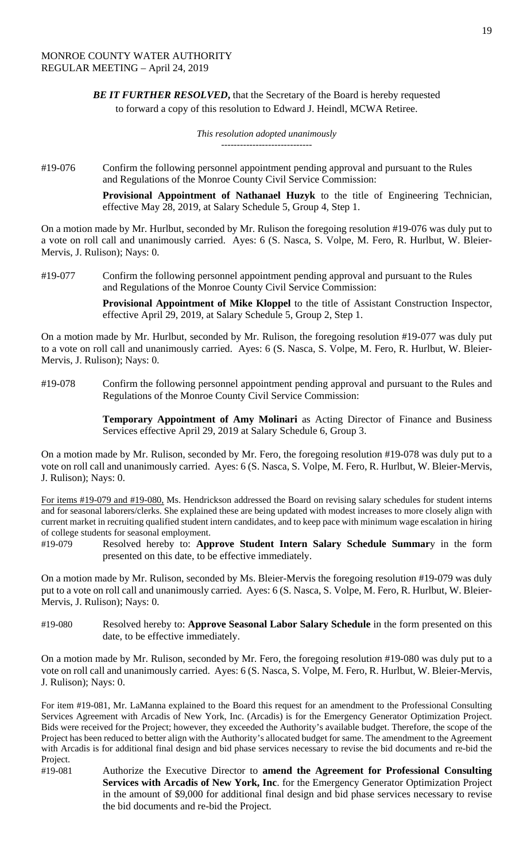**BE IT FURTHER RESOLVED**, that the Secretary of the Board is hereby requested to forward a copy of this resolution to Edward J. Heindl, MCWA Retiree.

> *This resolution adopted unanimously -----------------------------*

#19-076 Confirm the following personnel appointment pending approval and pursuant to the Rules and Regulations of the Monroe County Civil Service Commission:

> **Provisional Appointment of Nathanael Huzyk** to the title of Engineering Technician, effective May 28, 2019, at Salary Schedule 5, Group 4, Step 1.

On a motion made by Mr. Hurlbut, seconded by Mr. Rulison the foregoing resolution #19-076 was duly put to a vote on roll call and unanimously carried. Ayes: 6 (S. Nasca, S. Volpe, M. Fero, R. Hurlbut, W. Bleier-Mervis, J. Rulison); Nays: 0.

#19-077 Confirm the following personnel appointment pending approval and pursuant to the Rules and Regulations of the Monroe County Civil Service Commission:

> **Provisional Appointment of Mike Kloppel** to the title of Assistant Construction Inspector, effective April 29, 2019, at Salary Schedule 5, Group 2, Step 1.

On a motion made by Mr. Hurlbut, seconded by Mr. Rulison, the foregoing resolution #19-077 was duly put to a vote on roll call and unanimously carried. Ayes: 6 (S. Nasca, S. Volpe, M. Fero, R. Hurlbut, W. Bleier-Mervis, J. Rulison); Nays: 0.

#19-078 Confirm the following personnel appointment pending approval and pursuant to the Rules and Regulations of the Monroe County Civil Service Commission:

> **Temporary Appointment of Amy Molinari** as Acting Director of Finance and Business Services effective April 29, 2019 at Salary Schedule 6, Group 3.

On a motion made by Mr. Rulison, seconded by Mr. Fero, the foregoing resolution #19-078 was duly put to a vote on roll call and unanimously carried. Ayes: 6 (S. Nasca, S. Volpe, M. Fero, R. Hurlbut, W. Bleier-Mervis, J. Rulison); Nays: 0.

For items #19-079 and #19-080, Ms. Hendrickson addressed the Board on revising salary schedules for student interns and for seasonal laborers/clerks. She explained these are being updated with modest increases to more closely align with current market in recruiting qualified student intern candidates, and to keep pace with minimum wage escalation in hiring of college students for seasonal employment.

#19-079 Resolved hereby to: **Approve Student Intern Salary Schedule Summar**y in the form presented on this date, to be effective immediately.

On a motion made by Mr. Rulison, seconded by Ms. Bleier-Mervis the foregoing resolution #19-079 was duly put to a vote on roll call and unanimously carried. Ayes: 6 (S. Nasca, S. Volpe, M. Fero, R. Hurlbut, W. Bleier-Mervis, J. Rulison); Nays: 0.

#19-080 Resolved hereby to: **Approve Seasonal Labor Salary Schedule** in the form presented on this date, to be effective immediately.

On a motion made by Mr. Rulison, seconded by Mr. Fero, the foregoing resolution #19-080 was duly put to a vote on roll call and unanimously carried. Ayes: 6 (S. Nasca, S. Volpe, M. Fero, R. Hurlbut, W. Bleier-Mervis, J. Rulison); Nays: 0.

For item #19-081, Mr. LaManna explained to the Board this request for an amendment to the Professional Consulting Services Agreement with Arcadis of New York, Inc. (Arcadis) is for the Emergency Generator Optimization Project. Bids were received for the Project; however, they exceeded the Authority's available budget. Therefore, the scope of the Project has been reduced to better align with the Authority's allocated budget for same. The amendment to the Agreement with Arcadis is for additional final design and bid phase services necessary to revise the bid documents and re-bid the Project.

#19-081 Authorize the Executive Director to **amend the Agreement for Professional Consulting Services with Arcadis of New York, Inc**. for the Emergency Generator Optimization Project in the amount of \$9,000 for additional final design and bid phase services necessary to revise the bid documents and re-bid the Project.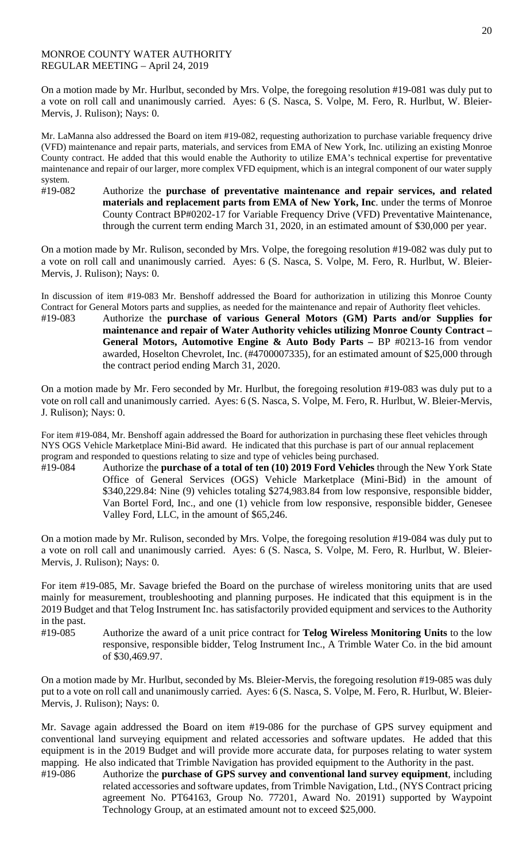## MONROE COUNTY WATER AUTHORITY REGULAR MEETING – April 24, 2019

On a motion made by Mr. Hurlbut, seconded by Mrs. Volpe, the foregoing resolution #19-081 was duly put to a vote on roll call and unanimously carried. Ayes: 6 (S. Nasca, S. Volpe, M. Fero, R. Hurlbut, W. Bleier-Mervis, J. Rulison); Nays: 0.

Mr. LaManna also addressed the Board on item #19-082, requesting authorization to purchase variable frequency drive (VFD) maintenance and repair parts, materials, and services from EMA of New York, Inc. utilizing an existing Monroe County contract. He added that this would enable the Authority to utilize EMA's technical expertise for preventative maintenance and repair of our larger, more complex VFD equipment, which is an integral component of our water supply system.

#19-082 Authorize the **purchase of preventative maintenance and repair services, and related materials and replacement parts from EMA of New York, Inc**. under the terms of Monroe County Contract BP#0202-17 for Variable Frequency Drive (VFD) Preventative Maintenance, through the current term ending March 31, 2020, in an estimated amount of \$30,000 per year.

On a motion made by Mr. Rulison, seconded by Mrs. Volpe, the foregoing resolution #19-082 was duly put to a vote on roll call and unanimously carried. Ayes: 6 (S. Nasca, S. Volpe, M. Fero, R. Hurlbut, W. Bleier-Mervis, J. Rulison); Nays: 0.

In discussion of item #19-083 Mr. Benshoff addressed the Board for authorization in utilizing this Monroe County Contract for General Motors parts and supplies, as needed for the maintenance and repair of Authority fleet vehicles.

#19-083 Authorize the **purchase of various General Motors (GM) Parts and/or Supplies for maintenance and repair of Water Authority vehicles utilizing Monroe County Contract – General Motors, Automotive Engine & Auto Body Parts –** BP #0213-16 from vendor awarded, Hoselton Chevrolet, Inc. (#4700007335), for an estimated amount of \$25,000 through the contract period ending March 31, 2020.

On a motion made by Mr. Fero seconded by Mr. Hurlbut, the foregoing resolution #19-083 was duly put to a vote on roll call and unanimously carried. Ayes: 6 (S. Nasca, S. Volpe, M. Fero, R. Hurlbut, W. Bleier-Mervis, J. Rulison); Nays: 0.

For item #19-084, Mr. Benshoff again addressed the Board for authorization in purchasing these fleet vehicles through NYS OGS Vehicle Marketplace Mini-Bid award. He indicated that this purchase is part of our annual replacement program and responded to questions relating to size and type of vehicles being purchased.

#19-084 Authorize the **purchase of a total of ten (10) 2019 Ford Vehicles** through the New York State Office of General Services (OGS) Vehicle Marketplace (Mini-Bid) in the amount of \$340,229.84: Nine (9) vehicles totaling \$274,983.84 from low responsive, responsible bidder, Van Bortel Ford, Inc., and one (1) vehicle from low responsive, responsible bidder, Genesee Valley Ford, LLC, in the amount of \$65,246.

On a motion made by Mr. Rulison, seconded by Mrs. Volpe, the foregoing resolution #19-084 was duly put to a vote on roll call and unanimously carried. Ayes: 6 (S. Nasca, S. Volpe, M. Fero, R. Hurlbut, W. Bleier-Mervis, J. Rulison); Nays: 0.

For item #19-085, Mr. Savage briefed the Board on the purchase of wireless monitoring units that are used mainly for measurement, troubleshooting and planning purposes. He indicated that this equipment is in the 2019 Budget and that Telog Instrument Inc. has satisfactorily provided equipment and services to the Authority in the past.

#19-085 Authorize the award of a unit price contract for **Telog Wireless Monitoring Units** to the low responsive, responsible bidder, Telog Instrument Inc., A Trimble Water Co. in the bid amount of \$30,469.97.

On a motion made by Mr. Hurlbut, seconded by Ms. Bleier-Mervis, the foregoing resolution #19-085 was duly put to a vote on roll call and unanimously carried. Ayes: 6 (S. Nasca, S. Volpe, M. Fero, R. Hurlbut, W. Bleier-Mervis, J. Rulison); Nays: 0.

Mr. Savage again addressed the Board on item #19-086 for the purchase of GPS survey equipment and conventional land surveying equipment and related accessories and software updates. He added that this equipment is in the 2019 Budget and will provide more accurate data, for purposes relating to water system mapping. He also indicated that Trimble Navigation has provided equipment to the Authority in the past.

#19-086 Authorize the **purchase of GPS survey and conventional land survey equipment**, including related accessories and software updates, from Trimble Navigation, Ltd., (NYS Contract pricing agreement No. PT64163, Group No. 77201, Award No. 20191) supported by Waypoint Technology Group, at an estimated amount not to exceed \$25,000.